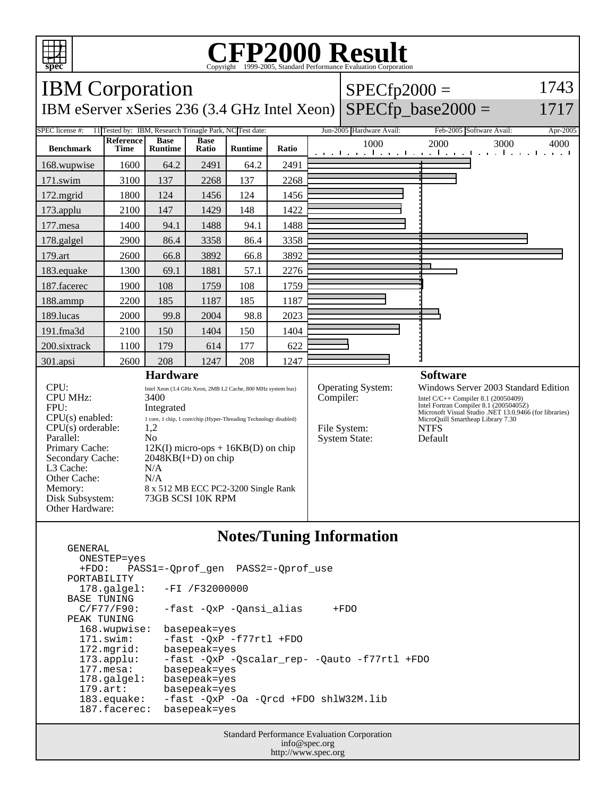

GENERAL

## C<sub>opyright</sub> ©1999-2005, Standard Performance Evaluation Corporation

| <b>IBM</b> Corporation                                                                                                                                                                                                 |                          |                                                                                                                                                                                                                                                                                                                  |                      |                |       |                 | $SPECfp2000 =$                                                         |                                                                                                                                                                                                                                                | 1743       |
|------------------------------------------------------------------------------------------------------------------------------------------------------------------------------------------------------------------------|--------------------------|------------------------------------------------------------------------------------------------------------------------------------------------------------------------------------------------------------------------------------------------------------------------------------------------------------------|----------------------|----------------|-------|-----------------|------------------------------------------------------------------------|------------------------------------------------------------------------------------------------------------------------------------------------------------------------------------------------------------------------------------------------|------------|
| IBM eServer xSeries 236 (3.4 GHz Intel Xeon)                                                                                                                                                                           |                          |                                                                                                                                                                                                                                                                                                                  |                      |                |       |                 |                                                                        | $SPECfp\_base2000 =$                                                                                                                                                                                                                           | 1717       |
| SPEC license #:<br>11 Tested by: IBM, Research Trinagle Park, NC Test date:                                                                                                                                            |                          |                                                                                                                                                                                                                                                                                                                  |                      |                |       |                 | Jun-2005 Hardware Avail:                                               | Feb-2005 Software Avail:                                                                                                                                                                                                                       | $Apr-2005$ |
| <b>Benchmark</b>                                                                                                                                                                                                       | <b>Reference</b><br>Time | <b>Base</b><br><b>Runtime</b>                                                                                                                                                                                                                                                                                    | <b>Base</b><br>Ratio | <b>Runtime</b> | Ratio |                 | 1000                                                                   | 2000<br>3000<br>المتواجب والمتواطن والمتواطن والمتواطن والمتو                                                                                                                                                                                  | 4000       |
| 168.wupwise                                                                                                                                                                                                            | 1600                     | 64.2                                                                                                                                                                                                                                                                                                             | 2491                 | 64.2           | 2491  |                 |                                                                        |                                                                                                                                                                                                                                                |            |
| 171.swim                                                                                                                                                                                                               | 3100                     | 137                                                                                                                                                                                                                                                                                                              | 2268                 | 137            | 2268  |                 |                                                                        |                                                                                                                                                                                                                                                |            |
| 172.mgrid                                                                                                                                                                                                              | 1800                     | 124                                                                                                                                                                                                                                                                                                              | 1456                 | 124            | 1456  |                 |                                                                        |                                                                                                                                                                                                                                                |            |
| 173.applu                                                                                                                                                                                                              | 2100                     | 147                                                                                                                                                                                                                                                                                                              | 1429                 | 148            | 1422  |                 |                                                                        |                                                                                                                                                                                                                                                |            |
| 177.mesa                                                                                                                                                                                                               | 1400                     | 94.1                                                                                                                                                                                                                                                                                                             | 1488                 | 94.1           | 1488  |                 |                                                                        |                                                                                                                                                                                                                                                |            |
| 178.galgel                                                                                                                                                                                                             | 2900                     | 86.4                                                                                                                                                                                                                                                                                                             | 3358                 | 86.4           | 3358  |                 |                                                                        |                                                                                                                                                                                                                                                |            |
| 179.art                                                                                                                                                                                                                | 2600                     | 66.8                                                                                                                                                                                                                                                                                                             | 3892                 | 66.8           | 3892  |                 |                                                                        |                                                                                                                                                                                                                                                |            |
| 183.equake                                                                                                                                                                                                             | 1300                     | 69.1                                                                                                                                                                                                                                                                                                             | 1881                 | 57.1           | 2276  |                 |                                                                        |                                                                                                                                                                                                                                                |            |
| 187.facerec                                                                                                                                                                                                            | 1900                     | 108                                                                                                                                                                                                                                                                                                              | 1759                 | 108            | 1759  |                 |                                                                        |                                                                                                                                                                                                                                                |            |
| 188.ammp                                                                                                                                                                                                               | 2200                     | 185                                                                                                                                                                                                                                                                                                              | 1187                 | 185            | 1187  |                 |                                                                        |                                                                                                                                                                                                                                                |            |
| 189.lucas                                                                                                                                                                                                              | 2000                     | 99.8                                                                                                                                                                                                                                                                                                             | 2004                 | 98.8           | 2023  |                 |                                                                        |                                                                                                                                                                                                                                                |            |
| 191.fma3d                                                                                                                                                                                                              | 2100                     | 150                                                                                                                                                                                                                                                                                                              | 1404                 | 150            | 1404  |                 |                                                                        |                                                                                                                                                                                                                                                |            |
| 200.sixtrack                                                                                                                                                                                                           | 1100                     | 179                                                                                                                                                                                                                                                                                                              | 614                  | 177            | 622   |                 |                                                                        |                                                                                                                                                                                                                                                |            |
| 301.apsi                                                                                                                                                                                                               | 2600                     | 208                                                                                                                                                                                                                                                                                                              | 1247                 | 208            | 1247  |                 |                                                                        |                                                                                                                                                                                                                                                |            |
| <b>Hardware</b>                                                                                                                                                                                                        |                          |                                                                                                                                                                                                                                                                                                                  |                      |                |       | <b>Software</b> |                                                                        |                                                                                                                                                                                                                                                |            |
| CPU:<br><b>CPU MHz:</b><br>FPU:<br>$CPU(s)$ enabled:<br>CPU(s) orderable:<br>Parallel:<br>Primary Cache:<br>Secondary Cache:<br>L <sub>3</sub> Cache:<br>Other Cache:<br>Memory:<br>Disk Subsystem:<br>Other Hardware: |                          | Intel Xeon (3.4 GHz Xeon, 2MB L2 Cache, 800 MHz system bus)<br>3400<br>Integrated<br>1 core, 1 chip, 1 core/chip (Hyper-Threading Technology disabled)<br>1,2<br>No<br>$12K(I)$ micro-ops + $16KB(D)$ on chip<br>$2048KB(I+D)$ on chip<br>N/A<br>N/A<br>8 x 512 MB ECC PC2-3200 Single Rank<br>73GB SCSI 10K RPM |                      |                |       |                 | Operating System:<br>Compiler:<br>File System:<br><b>System State:</b> | Windows Server 2003 Standard Edition<br>Intel C/C++ Compiler 8.1 (20050409)<br>Intel Fortran Compiler 8.1 (20050405Z)<br>Microsoft Visual Studio .NET 13.0.9466 (for libraries)<br>MicroQuill Smartheap Library 7.30<br><b>NTFS</b><br>Default |            |

## **Notes/Tuning Information**

 ONESTEP=yes +FDO: PASS1=-Qprof\_gen PASS2=-Qprof\_use PORTABILITY<br>178.qalqel: -FI /F32000000 BASE TUNING<br>C/F77/F90: -fast -QxP -Qansi\_alias +FDO PEAK TUNING 168.wupwise: basepeak=yes 171.swim: -fast -QxP -f77rtl +FDO<br>172.mgrid: basepeak=yes 172.mgrid: basepeak=yes<br>173.applu: -fast -QxP - 173.applu: -fast -QxP -Qscalar\_rep- -Qauto -f77rtl +FDO basepeak=yes<br>basepeak=yes 178.galgel:<br>179.art: basepeak=yes 183.equake: -fast -QxP -Oa -Qrcd +FDO shlW32M.lib<br>187.facerec: basepeak=yes 187.facerec:

> Standard Performance Evaluation Corporation info@spec.org http://www.spec.org